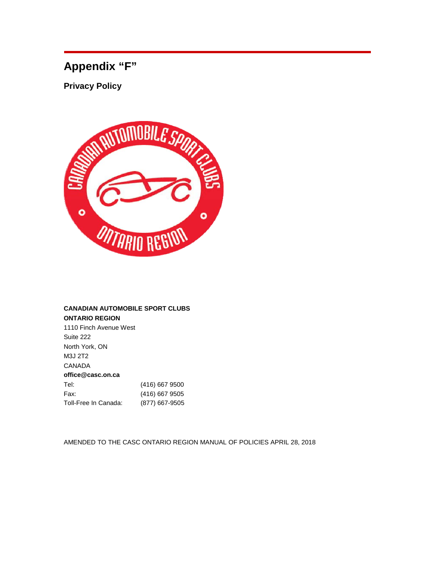# **Appendix "F"**

**Privacy Policy**



# **CANADIAN AUTOMOBILE SPORT CLUBS ONTARIO REGION**

| 1110 Finch Avenue West |                |
|------------------------|----------------|
| Suite 222              |                |
| North York, ON         |                |
| M3J 2T2                |                |
| CANADA                 |                |
| office@casc.on.ca      |                |
| Tel:                   | (416) 667 9500 |
| Fax:                   | (416) 667 9505 |
| Toll-Free In Canada:   | (877) 667-9505 |
|                        |                |

AMENDED TO THE CASC ONTARIO REGION MANUAL OF POLICIES APRIL 28, 2018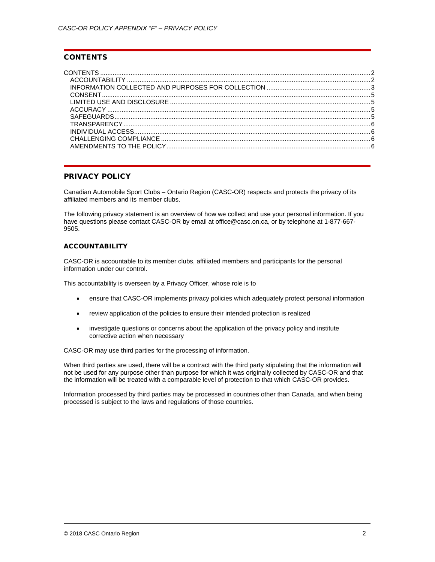## <span id="page-1-0"></span>**CONTENTS**

## PRIVACY POLICY

Canadian Automobile Sport Clubs – Ontario Region (CASC-OR) respects and protects the privacy of its affiliated members and its member clubs.

The following privacy statement is an overview of how we collect and use your personal information. If you have questions please contact CASC-OR by email at [office@casc.on.ca, o](mailto:office@casc.on.ca)r by telephone at 1-877-667- 9505.

## <span id="page-1-1"></span>**ACCOUNTABILITY**

CASC-OR is accountable to its member clubs, affiliated members and participants for the personal information under our control.

This accountability is overseen by a Privacy Officer, whose role is to

- ensure that CASC-OR implements privacy policies which adequately protect personal information
- review application of the policies to ensure their intended protection is realized
- investigate questions or concerns about the application of the privacy policy and institute corrective action when necessary

CASC-OR may use third parties for the processing of information.

When third parties are used, there will be a contract with the third party stipulating that the information will not be used for any purpose other than purpose for which it was originally collected by CASC-OR and that the information will be treated with a comparable level of protection to that which CASC-OR provides.

Information processed by third parties may be processed in countries other than Canada, and when being processed is subject to the laws and regulations of those countries.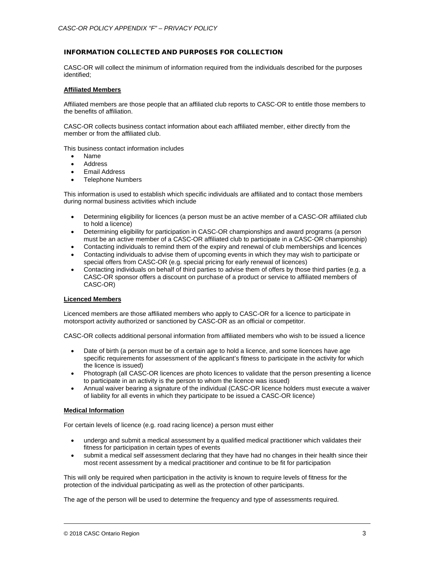## <span id="page-2-0"></span>INFORMATION COLLECTED AND PURPOSES FOR COLLECTION

CASC-OR will collect the minimum of information required from the individuals described for the purposes identified;

## **Affiliated Members**

Affiliated members are those people that an affiliated club reports to CASC-OR to entitle those members to the benefits of affiliation.

CASC-OR collects business contact information about each affiliated member, either directly from the member or from the affiliated club.

This business contact information includes

- Name
- Address
- Email Address
- Telephone Numbers

This information is used to establish which specific individuals are affiliated and to contact those members during normal business activities which include

- Determining eligibility for licences (a person must be an active member of a CASC-OR affiliated club to hold a licence)
- Determining eligibility for participation in CASC-OR championships and award programs (a person must be an active member of a CASC-OR affiliated club to participate in a CASC-OR championship)
- Contacting individuals to remind them of the expiry and renewal of club memberships and licences
- Contacting individuals to advise them of upcoming events in which they may wish to participate or special offers from CASC-OR (e.g. special pricing for early renewal of licences)
- Contacting individuals on behalf of third parties to advise them of offers by those third parties (e.g. a CASC-OR sponsor offers a discount on purchase of a product or service to affiliated members of CASC-OR)

#### **Licenced Members**

Licenced members are those affiliated members who apply to CASC-OR for a licence to participate in motorsport activity authorized or sanctioned by CASC-OR as an official or competitor.

CASC-OR collects additional personal information from affiliated members who wish to be issued a licence

- Date of birth (a person must be of a certain age to hold a licence, and some licences have age specific requirements for assessment of the applicant's fitness to participate in the activity for which the licence is issued)
- Photograph (all CASC-OR licences are photo licences to validate that the person presenting a licence to participate in an activity is the person to whom the licence was issued)
- Annual waiver bearing a signature of the individual (CASC-OR licence holders must execute a waiver of liability for all events in which they participate to be issued a CASC-OR licence)

#### **Medical Information**

For certain levels of licence (e.g. road racing licence) a person must either

- undergo and submit a medical assessment by a qualified medical practitioner which validates their fitness for participation in certain types of events
- submit a medical self assessment declaring that they have had no changes in their health since their most recent assessment by a medical practitioner and continue to be fit for participation

This will only be required when participation in the activity is known to require levels of fitness for the protection of the individual participating as well as the protection of other participants.

The age of the person will be used to determine the frequency and type of assessments required.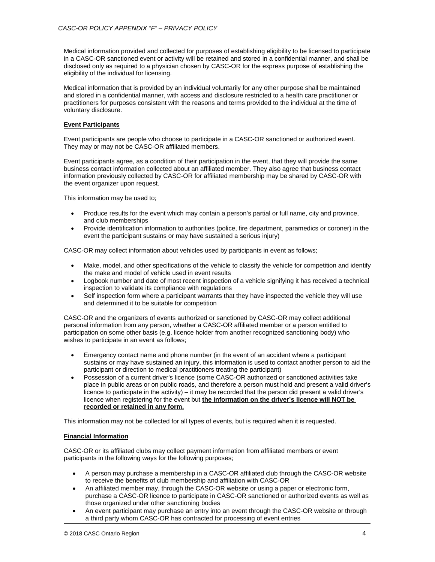Medical information provided and collected for purposes of establishing eligibility to be licensed to participate in a CASC-OR sanctioned event or activity will be retained and stored in a confidential manner, and shall be disclosed only as required to a physician chosen by CASC-OR for the express purpose of establishing the eligibility of the individual for licensing.

Medical information that is provided by an individual voluntarily for any other purpose shall be maintained and stored in a confidential manner, with access and disclosure restricted to a health care practitioner or practitioners for purposes consistent with the reasons and terms provided to the individual at the time of voluntary disclosure.

## **Event Participants**

Event participants are people who choose to participate in a CASC-OR sanctioned or authorized event. They may or may not be CASC-OR affiliated members.

Event participants agree, as a condition of their participation in the event, that they will provide the same business contact information collected about an affiliated member. They also agree that business contact information previously collected by CASC-OR for affiliated membership may be shared by CASC-OR with the event organizer upon request.

This information may be used to;

- Produce results for the event which may contain a person's partial or full name, city and province, and club memberships
- Provide identification information to authorities (police, fire department, paramedics or coroner) in the event the participant sustains or may have sustained a serious injury)

CASC-OR may collect information about vehicles used by participants in event as follows;

- Make, model, and other specifications of the vehicle to classify the vehicle for competition and identify the make and model of vehicle used in event results
- Logbook number and date of most recent inspection of a vehicle signifying it has received a technical inspection to validate its compliance with regulations
- Self inspection form where a participant warrants that they have inspected the vehicle they will use and determined it to be suitable for competition

CASC-OR and the organizers of events authorized or sanctioned by CASC-OR may collect additional personal information from any person, whether a CASC-OR affiliated member or a person entitled to participation on some other basis (e.g. licence holder from another recognized sanctioning body) who wishes to participate in an event as follows;

- Emergency contact name and phone number (in the event of an accident where a participant sustains or may have sustained an injury, this information is used to contact another person to aid the participant or direction to medical practitioners treating the participant)
- Possession of a current driver's licence (some CASC-OR authorized or sanctioned activities take place in public areas or on public roads, and therefore a person must hold and present a valid driver's licence to participate in the activity) – it may be recorded that the person did present a valid driver's licence when registering for the event but **the information on the driver's licence will NOT be recorded or retained in any form.**

This information may not be collected for all types of events, but is required when it is requested.

## **Financial Information**

CASC-OR or its affiliated clubs may collect payment information from affiliated members or event participants in the following ways for the following purposes;

- A person may purchase a membership in a CASC-OR affiliated club through the CASC-OR website to receive the benefits of club membership and affiliation with CASC-OR
- An affiliated member may, through the CASC-OR website or using a paper or electronic form, purchase a CASC-OR licence to participate in CASC-OR sanctioned or authorized events as well as those organized under other sanctioning bodies
- An event participant may purchase an entry into an event through the CASC-OR website or through a third party whom CASC-OR has contracted for processing of event entries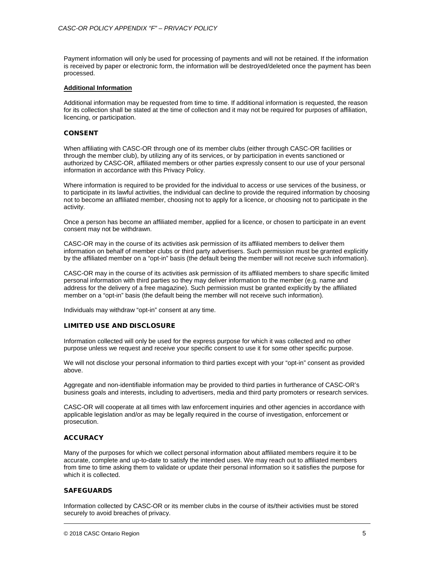Payment information will only be used for processing of payments and will not be retained. If the information is received by paper or electronic form, the information will be destroyed/deleted once the payment has been processed.

#### **Additional Information**

Additional information may be requested from time to time. If additional information is requested, the reason for its collection shall be stated at the time of collection and it may not be required for purposes of affiliation, licencing, or participation.

## <span id="page-4-0"></span>CONSENT

When affiliating with CASC-OR through one of its member clubs (either through CASC-OR facilities or through the member club), by utilizing any of its services, or by participation in events sanctioned or authorized by CASC-OR, affiliated members or other parties expressly consent to our use of your personal information in accordance with this Privacy Policy.

Where information is required to be provided for the individual to access or use services of the business, or to participate in its lawful activities, the individual can decline to provide the required information by choosing not to become an affiliated member, choosing not to apply for a licence, or choosing not to participate in the activity.

Once a person has become an affiliated member, applied for a licence, or chosen to participate in an event consent may not be withdrawn.

CASC-OR may in the course of its activities ask permission of its affiliated members to deliver them information on behalf of member clubs or third party advertisers. Such permission must be granted explicitly by the affiliated member on a "opt-in" basis (the default being the member will not receive such information).

CASC-OR may in the course of its activities ask permission of its affiliated members to share specific limited personal information with third parties so they may deliver information to the member (e.g. name and address for the delivery of a free magazine). Such permission must be granted explicitly by the affiliated member on a "opt-in" basis (the default being the member will not receive such information).

Individuals may withdraw "opt-in" consent at any time.

## <span id="page-4-1"></span>LIMITED USE AND DISCLOSURE

Information collected will only be used for the express purpose for which it was collected and no other purpose unless we request and receive your specific consent to use it for some other specific purpose.

We will not disclose your personal information to third parties except with your "opt-in" consent as provided above.

Aggregate and non-identifiable information may be provided to third parties in furtherance of CASC-OR's business goals and interests, including to advertisers, media and third party promoters or research services.

CASC-OR will cooperate at all times with law enforcement inquiries and other agencies in accordance with applicable legislation and/or as may be legally required in the course of investigation, enforcement or prosecution.

## <span id="page-4-2"></span>**ACCURACY**

Many of the purposes for which we collect personal information about affiliated members require it to be accurate, complete and up-to-date to satisfy the intended uses. We may reach out to affiliated members from time to time asking them to validate or update their personal information so it satisfies the purpose for which it is collected.

#### <span id="page-4-3"></span>**SAFEGUARDS**

Information collected by CASC-OR or its member clubs in the course of its/their activities must be stored securely to avoid breaches of privacy.